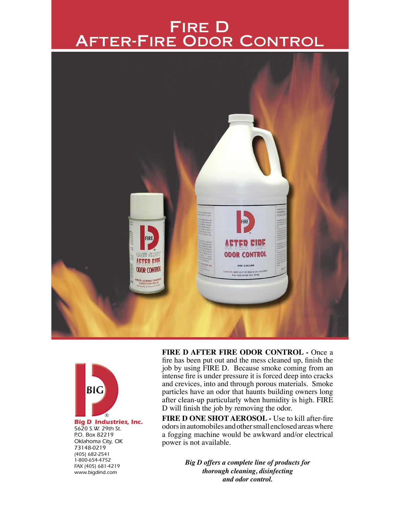# Fire D After-Fire Odor Control





5620 S.W. 29th St. P.O. Box 82219 Oklahoma City, OK 73148-0219 (405) 682-2541 1-800-654-4752 FAX (405) 681-4219 www.bigdind.com

**FIRE D AFTER FIRE ODOR CONTROL -** Once a fire has been put out and the mess cleaned up, finish the job by using FIRE D. Because smoke coming from an intense fire is under pressure it is forced deep into cracks and crevices, into and through porous materials. Smoke particles have an odor that haunts building owners long after clean-up particularly when humidity is high. FIRE D will finish the job by removing the odor.

**FIRE D ONE SHOT AEROSOL -** Use to kill after-fire odors in automobiles and other small enclosed areas where a fogging machine would be awkward and/or electrical power is not available.

> *Big D offers a complete line of products for thorough cleaning, disinfecting and odor control.*